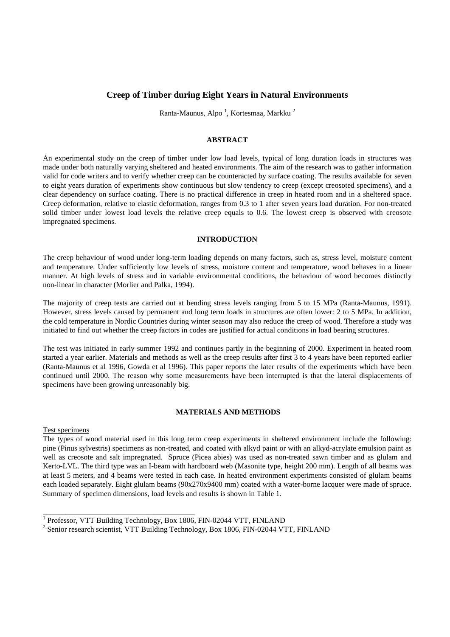# **Creep of Timber during Eight Years in Natural Environments**

Ranta-Maunus, Alpo <sup>1</sup>, Kortesmaa, Markku <sup>2</sup>

# **ABSTRACT**

An experimental study on the creep of timber under low load levels, typical of long duration loads in structures was made under both naturally varying sheltered and heated environments. The aim of the research was to gather information valid for code writers and to verify whether creep can be counteracted by surface coating. The results available for seven to eight years duration of experiments show continuous but slow tendency to creep (except creosoted specimens), and a clear dependency on surface coating. There is no practical difference in creep in heated room and in a sheltered space. Creep deformation, relative to elastic deformation, ranges from 0.3 to 1 after seven years load duration. For non-treated solid timber under lowest load levels the relative creep equals to 0.6. The lowest creep is observed with creosote impregnated specimens.

#### **INTRODUCTION**

The creep behaviour of wood under long-term loading depends on many factors, such as, stress level, moisture content and temperature. Under sufficiently low levels of stress, moisture content and temperature, wood behaves in a linear manner. At high levels of stress and in variable environmental conditions, the behaviour of wood becomes distinctly non-linear in character (Morlier and Palka, 1994).

The majority of creep tests are carried out at bending stress levels ranging from 5 to 15 MPa (Ranta-Maunus, 1991). However, stress levels caused by permanent and long term loads in structures are often lower: 2 to 5 MPa. In addition, the cold temperature in Nordic Countries during winter season may also reduce the creep of wood. Therefore a study was initiated to find out whether the creep factors in codes are justified for actual conditions in load bearing structures.

The test was initiated in early summer 1992 and continues partly in the beginning of 2000. Experiment in heated room started a year earlier. Materials and methods as well as the creep results after first 3 to 4 years have been reported earlier (Ranta-Maunus et al 1996, Gowda et al 1996). This paper reports the later results of the experiments which have been continued until 2000. The reason why some measurements have been interrupted is that the lateral displacements of specimens have been growing unreasonably big.

# **MATERIALS AND METHODS**

Test specimens

The types of wood material used in this long term creep experiments in sheltered environment include the following: pine (Pinus sylvestris) specimens as non-treated, and coated with alkyd paint or with an alkyd-acrylate emulsion paint as well as creosote and salt impregnated. Spruce (Picea abies) was used as non-treated sawn timber and as glulam and Kerto-LVL. The third type was an I-beam with hardboard web (Masonite type, height 200 mm). Length of all beams was at least 5 meters, and 4 beams were tested in each case. In heated environment experiments consisted of glulam beams each loaded separately. Eight glulam beams (90x270x9400 mm) coated with a water-borne lacquer were made of spruce. Summary of specimen dimensions, load levels and results is shown in Table 1.

\_\_\_\_\_\_\_\_\_\_\_\_\_\_\_\_\_\_\_\_\_\_\_\_\_\_\_\_\_\_\_\_\_\_\_\_\_\_\_\_

<sup>&</sup>lt;sup>1</sup> Professor, VTT Building Technology, Box 1806, FIN-02044 VTT, FINLAND

<sup>2</sup> Senior research scientist, VTT Building Technology, Box 1806, FIN-02044 VTT, FINLAND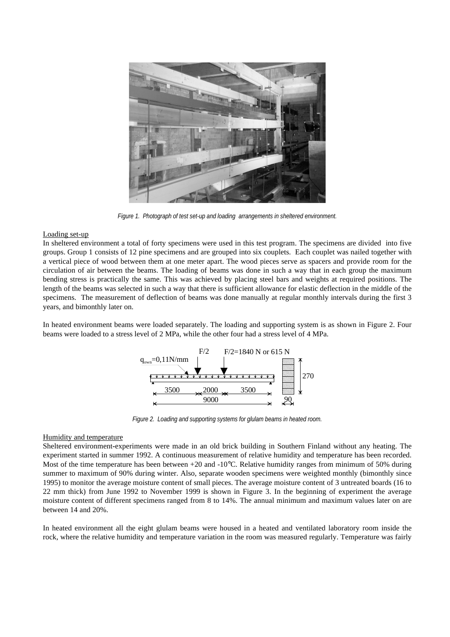

*Figure 1. Photograph of test set-up and loading arrangements in sheltered environment.*

#### Loading set-up

In sheltered environment a total of forty specimens were used in this test program. The specimens are divided into five groups. Group 1 consists of 12 pine specimens and are grouped into six couplets. Each couplet was nailed together with a vertical piece of wood between them at one meter apart. The wood pieces serve as spacers and provide room for the circulation of air between the beams. The loading of beams was done in such a way that in each group the maximum bending stress is practically the same. This was achieved by placing steel bars and weights at required positions. The length of the beams was selected in such a way that there is sufficient allowance for elastic deflection in the middle of the specimens. The measurement of deflection of beams was done manually at regular monthly intervals during the first 3 years, and bimonthly later on.

In heated environment beams were loaded separately. The loading and supporting system is as shown in Figure 2. Four beams were loaded to a stress level of 2 MPa, while the other four had a stress level of 4 MPa.



*Figure 2. Loading and supporting systems for glulam beams in heated room.*

#### Humidity and temperature

Sheltered environment**-**experiments were made in an old brick building in Southern Finland without any heating. The experiment started in summer 1992. A continuous measurement of relative humidity and temperature has been recorded. Most of the time temperature has been between +20 and -10<sup>o</sup>C. Relative humidity ranges from minimum of 50% during summer to maximum of 90% during winter. Also, separate wooden specimens were weighted monthly (bimonthly since 1995) to monitor the average moisture content of small pieces. The average moisture content of 3 untreated boards (16 to 22 mm thick) from June 1992 to November 1999 is shown in Figure 3. In the beginning of experiment the average moisture content of different specimens ranged from 8 to 14%. The annual minimum and maximum values later on are between 14 and 20%.

In heated environment all the eight glulam beams were housed in a heated and ventilated laboratory room inside the rock, where the relative humidity and temperature variation in the room was measured regularly. Temperature was fairly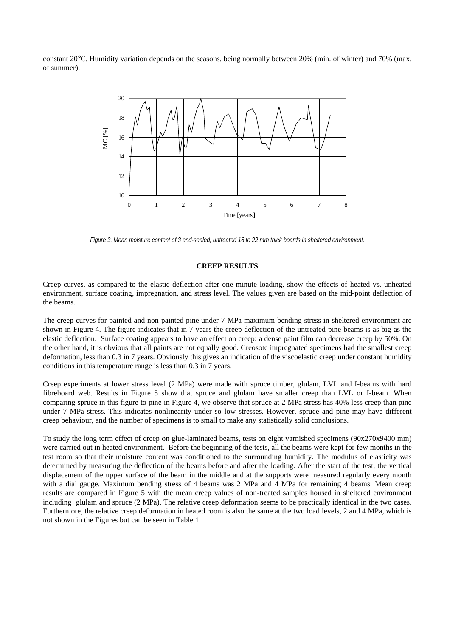constant 20°C. Humidity variation depends on the seasons, being normally between 20% (min. of winter) and 70% (max. of summer).



*Figure 3. Mean moisture content of 3 end-sealed, untreated 16 to 22 mm thick boards in sheltered environment.*

# **CREEP RESULTS**

Creep curves, as compared to the elastic deflection after one minute loading, show the effects of heated vs. unheated environment, surface coating, impregnation, and stress level. The values given are based on the mid-point deflection of the beams.

The creep curves for painted and non-painted pine under 7 MPa maximum bending stress in sheltered environment are shown in Figure 4. The figure indicates that in 7 years the creep deflection of the untreated pine beams is as big as the elastic deflection. Surface coating appears to have an effect on creep: a dense paint film can decrease creep by 50%. On the other hand, it is obvious that all paints are not equally good. Creosote impregnated specimens had the smallest creep deformation, less than 0.3 in 7 years. Obviously this gives an indication of the viscoelastic creep under constant humidity conditions in this temperature range is less than 0.3 in 7 years.

Creep experiments at lower stress level (2 MPa) were made with spruce timber, glulam, LVL and I-beams with hard fibreboard web. Results in Figure 5 show that spruce and glulam have smaller creep than LVL or I-beam. When comparing spruce in this figure to pine in Figure 4, we observe that spruce at 2 MPa stress has 40% less creep than pine under 7 MPa stress. This indicates nonlinearity under so low stresses. However, spruce and pine may have different creep behaviour, and the number of specimens is to small to make any statistically solid conclusions.

To study the long term effect of creep on glue-laminated beams, tests on eight varnished specimens (90x270x9400 mm) were carried out in heated environment. Before the beginning of the tests, all the beams were kept for few months in the test room so that their moisture content was conditioned to the surrounding humidity. The modulus of elasticity was determined by measuring the deflection of the beams before and after the loading. After the start of the test, the vertical displacement of the upper surface of the beam in the middle and at the supports were measured regularly every month with a dial gauge. Maximum bending stress of 4 beams was 2 MPa and 4 MPa for remaining 4 beams. Mean creep results are compared in Figure 5 with the mean creep values of non-treated samples housed in sheltered environment including glulam and spruce (2 MPa). The relative creep deformation seems to be practically identical in the two cases. Furthermore, the relative creep deformation in heated room is also the same at the two load levels, 2 and 4 MPa, which is not shown in the Figures but can be seen in Table 1.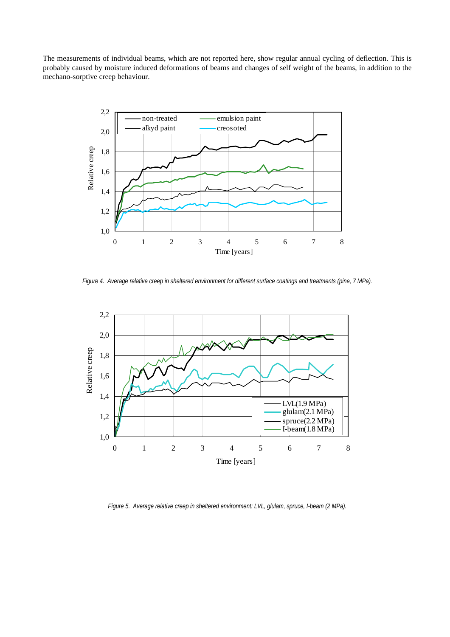The measurements of individual beams, which are not reported here, show regular annual cycling of deflection. This is probably caused by moisture induced deformations of beams and changes of self weight of the beams, in addition to the mechano-sorptive creep behaviour.



*Figure 4. Average relative creep in sheltered environment for different surface coatings and treatments (pine, 7 MPa).*



*Figure 5. Average relative creep in sheltered environment: LVL, glulam, spruce, I-beam (2 MPa).*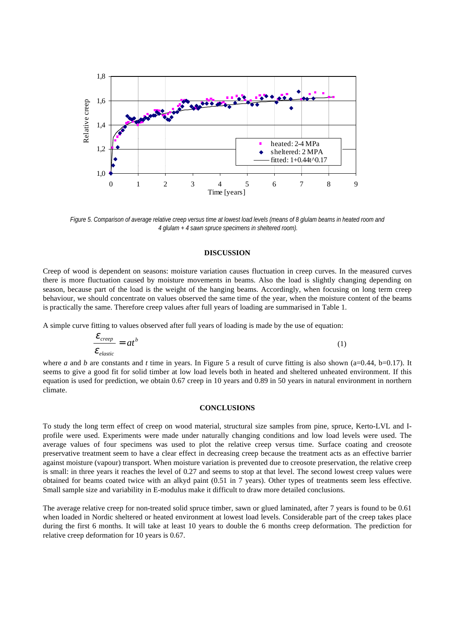

*Figure 5. Comparison of average relative creep versus time at lowest load levels (means of 8 glulam beams in heated room and 4 glulam + 4 sawn spruce specimens in sheltered room).*

#### **DISCUSSION**

Creep of wood is dependent on seasons: moisture variation causes fluctuation in creep curves. In the measured curves there is more fluctuation caused by moisture movements in beams. Also the load is slightly changing depending on season, because part of the load is the weight of the hanging beams. Accordingly, when focusing on long term creep behaviour, we should concentrate on values observed the same time of the year, when the moisture content of the beams is practically the same. Therefore creep values after full years of loading are summarised in Table 1.

A simple curve fitting to values observed after full years of loading is made by the use of equation:

$$
\frac{\mathcal{E}_{\text{creep}}}{\mathcal{E}_{\text{elastic}}}=at^b\tag{1}
$$

where *a* and *b* are constants and *t* time in years. In Figure 5 a result of curve fitting is also shown (a=0.44, b=0.17). It seems to give a good fit for solid timber at low load levels both in heated and sheltered unheated environment. If this equation is used for prediction, we obtain 0.67 creep in 10 years and 0.89 in 50 years in natural environment in northern climate.

#### **CONCLUSIONS**

To study the long term effect of creep on wood material, structural size samples from pine, spruce, Kerto-LVL and Iprofile were used. Experiments were made under naturally changing conditions and low load levels were used. The average values of four specimens was used to plot the relative creep versus time. Surface coating and creosote preservative treatment seem to have a clear effect in decreasing creep because the treatment acts as an effective barrier against moisture (vapour) transport. When moisture variation is prevented due to creosote preservation, the relative creep is small: in three years it reaches the level of 0.27 and seems to stop at that level. The second lowest creep values were obtained for beams coated twice with an alkyd paint (0.51 in 7 years). Other types of treatments seem less effective. Small sample size and variability in E-modulus make it difficult to draw more detailed conclusions.

The average relative creep for non-treated solid spruce timber, sawn or glued laminated, after 7 years is found to be 0.61 when loaded in Nordic sheltered or heated environment at lowest load levels. Considerable part of the creep takes place during the first 6 months. It will take at least 10 years to double the 6 months creep deformation. The prediction for relative creep deformation for 10 years is 0.67.